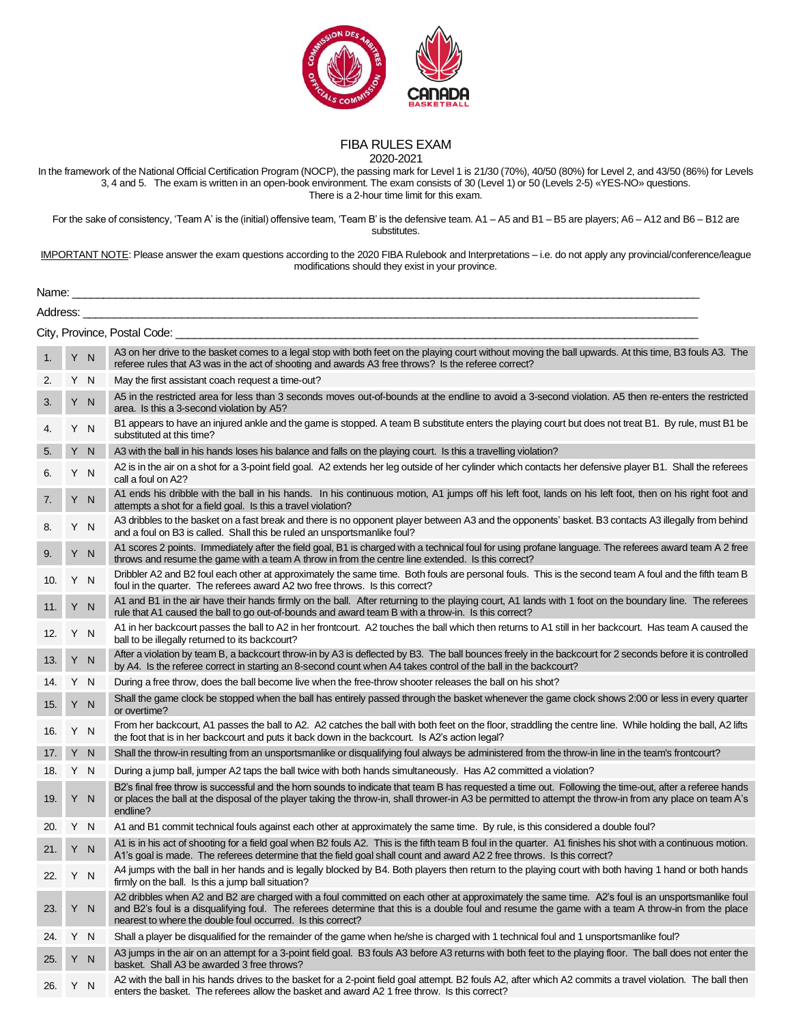

## FIBA RULES EXAM 2020-2021

In the framework of the National Official Certification Program (NOCP), the passing mark for Level 1 is 21/30 (70%), 40/50 (80%) for Level 2, and 43/50 (86%) for Levels 3, 4 and 5. The exam is written in an open-book environment. The exam consists of 30 (Level 1) or 50 (Levels 2-5) «YES-NO» questions. There is a 2-hour time limit for this exam.

For the sake of consistency, 'Team A' is the (initial) offensive team, 'Team B' is the defensive team. A1 – A5 and B1 – B5 are players; A6 – A12 and B6 – B12 are substitutes.

IMPORTANT NOTE: Please answer the exam questions according to the 2020 FIBA Rulebook and Interpretations – i.e. do not apply any provincial/conference/league modifications should they exist in your province.

| Name:    |     |     |                                                                                                                                                                                                                                                                                                                                                                      |  |  |
|----------|-----|-----|----------------------------------------------------------------------------------------------------------------------------------------------------------------------------------------------------------------------------------------------------------------------------------------------------------------------------------------------------------------------|--|--|
| Address: |     |     | <u> 1989 - Johann Stein, marwolaethau a bhann an t-Amhain an t-Amhain an t-Amhain an t-Amhain an t-Amhain an t-A</u>                                                                                                                                                                                                                                                 |  |  |
|          |     |     |                                                                                                                                                                                                                                                                                                                                                                      |  |  |
| 1.       |     | Y N | A3 on her drive to the basket comes to a legal stop with both feet on the playing court without moving the ball upwards. At this time, B3 fouls A3. The<br>referee rules that A3 was in the act of shooting and awards A3 free throws? Is the referee correct?                                                                                                       |  |  |
| 2.       |     | Y N | May the first assistant coach request a time-out?                                                                                                                                                                                                                                                                                                                    |  |  |
| 3.       |     | Y N | A5 in the restricted area for less than 3 seconds moves out-of-bounds at the endline to avoid a 3-second violation. A5 then re-enters the restricted<br>area. Is this a 3-second violation by A5?                                                                                                                                                                    |  |  |
|          |     | Y N | B1 appears to have an injured ankle and the game is stopped. A team B substitute enters the playing court but does not treat B1. By rule, must B1 be<br>substituted at this time?                                                                                                                                                                                    |  |  |
| 5.       |     | Y N | A3 with the ball in his hands loses his balance and falls on the playing court. Is this a travelling violation?                                                                                                                                                                                                                                                      |  |  |
| 6.       |     | Y N | A2 is in the air on a shot for a 3-point field goal. A2 extends her leg outside of her cylinder which contacts her defensive player B1. Shall the referees<br>call a foul on A2?                                                                                                                                                                                     |  |  |
| 7.       |     | Y N | A1 ends his dribble with the ball in his hands. In his continuous motion, A1 jumps off his left foot, lands on his left foot, then on his right foot and<br>attempts a shot for a field goal. Is this a travel violation?                                                                                                                                            |  |  |
| 8.       |     | Y N | A3 dribbles to the basket on a fast break and there is no opponent player between A3 and the opponents' basket. B3 contacts A3 illegally from behind<br>and a foul on B3 is called. Shall this be ruled an unsportsmanlike foul?                                                                                                                                     |  |  |
| 9.       |     | Y N | A1 scores 2 points. Immediately after the field goal, B1 is charged with a technical foul for using profane language. The referees award team A 2 free<br>throws and resume the game with a team A throw in from the centre line extended. Is this correct?                                                                                                          |  |  |
| 10.      |     | Y N | Dribbler A2 and B2 foul each other at approximately the same time. Both fouls are personal fouls. This is the second team A foul and the fifth team B<br>foul in the quarter. The referees award A2 two free throws. Is this correct?                                                                                                                                |  |  |
| 11.      |     | Y N | A1 and B1 in the air have their hands firmly on the ball. After returning to the playing court, A1 lands with 1 foot on the boundary line. The referees<br>rule that A1 caused the ball to go out-of-bounds and award team B with a throw-in. Is this correct?                                                                                                       |  |  |
| 12.      |     | Y N | A1 in her backcourt passes the ball to A2 in her frontcourt. A2 touches the ball which then returns to A1 still in her backcourt. Has team A caused the<br>ball to be illegally returned to its backcourt?                                                                                                                                                           |  |  |
| 13.      |     | Y N | After a violation by team B, a backcourt throw-in by A3 is deflected by B3. The ball bounces freely in the backcourt for 2 seconds before it is controlled<br>by A4. Is the referee correct in starting an 8-second count when A4 takes control of the ball in the backcourt?                                                                                        |  |  |
| 14.      | Y N |     | During a free throw, does the ball become live when the free-throw shooter releases the ball on his shot?                                                                                                                                                                                                                                                            |  |  |
| 15.      |     | Y N | Shall the game clock be stopped when the ball has entirely passed through the basket whenever the game clock shows 2:00 or less in every quarter<br>or overtime?                                                                                                                                                                                                     |  |  |
| 16.      | Y N |     | From her backcourt, A1 passes the ball to A2. A2 catches the ball with both feet on the floor, straddling the centre line. While holding the ball, A2 lifts<br>the foot that is in her backcourt and puts it back down in the backcourt. Is A2's action legal?                                                                                                       |  |  |
| 17.      |     | Y N | Shall the throw-in resulting from an unsportsmanlike or disqualifying foul always be administered from the throw-in line in the team's frontcourt?                                                                                                                                                                                                                   |  |  |
| 18.      |     | Y N | During a jump ball, jumper A2 taps the ball twice with both hands simultaneously. Has A2 committed a violation?                                                                                                                                                                                                                                                      |  |  |
| 19.      |     | Y N | B2's final free throw is successful and the horn sounds to indicate that team B has requested a time out. Following the time-out, after a referee hands<br>or places the ball at the disposal of the player taking the throw-in, shall thrower-in A3 be permitted to attempt the throw-in from any place on team A's<br>endline?                                     |  |  |
| 20.      |     | Y N | A1 and B1 commit technical fouls against each other at approximately the same time. By rule, is this considered a double foul?                                                                                                                                                                                                                                       |  |  |
| 21.      |     | Y N | A1 is in his act of shooting for a field goal when B2 fouls A2. This is the fifth team B foul in the quarter. A1 finishes his shot with a continuous motion.<br>A1's goal is made. The referees determine that the field goal shall count and award A2 2 free throws. Is this correct?                                                                               |  |  |
| 22. Y N  |     |     | A4 jumps with the ball in her hands and is legally blocked by B4. Both players then return to the playing court with both having 1 hand or both hands<br>firmly on the ball. Is this a jump ball situation?                                                                                                                                                          |  |  |
| 23.      |     | Y N | A2 dribbles when A2 and B2 are charged with a foul committed on each other at approximately the same time. A2's foul is an unsportsmanlike foul<br>and B2's foul is a disqualifying foul. The referees determine that this is a double foul and resume the game with a team A throw-in from the place<br>nearest to where the double foul occurred. Is this correct? |  |  |
| 24.      |     | Y N | Shall a player be disqualified for the remainder of the game when he/she is charged with 1 technical foul and 1 unsportsmanlike foul?                                                                                                                                                                                                                                |  |  |
| 25.      |     | Y N | A3 jumps in the air on an attempt for a 3-point field goal. B3 fouls A3 before A3 returns with both feet to the playing floor. The ball does not enter the<br>basket. Shall A3 be awarded 3 free throws?                                                                                                                                                             |  |  |
| 26.      |     | Y N | A2 with the ball in his hands drives to the basket for a 2-point field goal attempt. B2 fouls A2, after which A2 commits a travel violation. The ball then<br>enters the basket. The referees allow the basket and award A2 1 free throw. Is this correct?                                                                                                           |  |  |